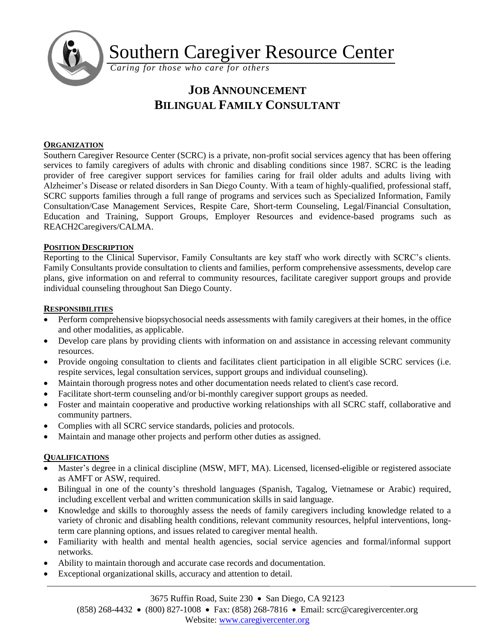

Southern Caregiver Resource Center

*Caring for those who care for others*

# **JOB ANNOUNCEMENT BILINGUAL FAMILY CONSULTANT**

### **ORGANIZATION**

Southern Caregiver Resource Center (SCRC) is a private, non-profit social services agency that has been offering services to family caregivers of adults with chronic and disabling conditions since 1987. SCRC is the leading provider of free caregiver support services for families caring for frail older adults and adults living with Alzheimer's Disease or related disorders in San Diego County. With a team of highly-qualified, professional staff, SCRC supports families through a full range of programs and services such as Specialized Information, Family Consultation/Case Management Services, Respite Care, Short-term Counseling, Legal/Financial Consultation, Education and Training, Support Groups, Employer Resources and evidence-based programs such as REACH2Caregivers/CALMA.

## **POSITION DESCRIPTION**

Reporting to the Clinical Supervisor, Family Consultants are key staff who work directly with SCRC's clients. Family Consultants provide consultation to clients and families, perform comprehensive assessments, develop care plans, give information on and referral to community resources, facilitate caregiver support groups and provide individual counseling throughout San Diego County.

#### **RESPONSIBILITIES**

- Perform comprehensive biopsychosocial needs assessments with family caregivers at their homes, in the office and other modalities, as applicable.
- Develop care plans by providing clients with information on and assistance in accessing relevant community resources.
- Provide ongoing consultation to clients and facilitates client participation in all eligible SCRC services (i.e. respite services, legal consultation services, support groups and individual counseling).
- Maintain thorough progress notes and other documentation needs related to client's case record.
- Facilitate short-term counseling and/or bi-monthly caregiver support groups as needed.
- Foster and maintain cooperative and productive working relationships with all SCRC staff, collaborative and community partners.
- Complies with all SCRC service standards, policies and protocols.
- Maintain and manage other projects and perform other duties as assigned.

#### **QUALIFICATIONS**

- Master's degree in a clinical discipline (MSW, MFT, MA). Licensed, licensed-eligible or registered associate as AMFT or ASW, required.
- Bilingual in one of the county's threshold languages (Spanish, Tagalog, Vietnamese or Arabic) required, including excellent verbal and written communication skills in said language.
- Knowledge and skills to thoroughly assess the needs of family caregivers including knowledge related to a variety of chronic and disabling health conditions, relevant community resources, helpful interventions, longterm care planning options, and issues related to caregiver mental health.
- Familiarity with health and mental health agencies, social service agencies and formal/informal support networks.
- Ability to maintain thorough and accurate case records and documentation.
- Exceptional organizational skills, accuracy and attention to detail.